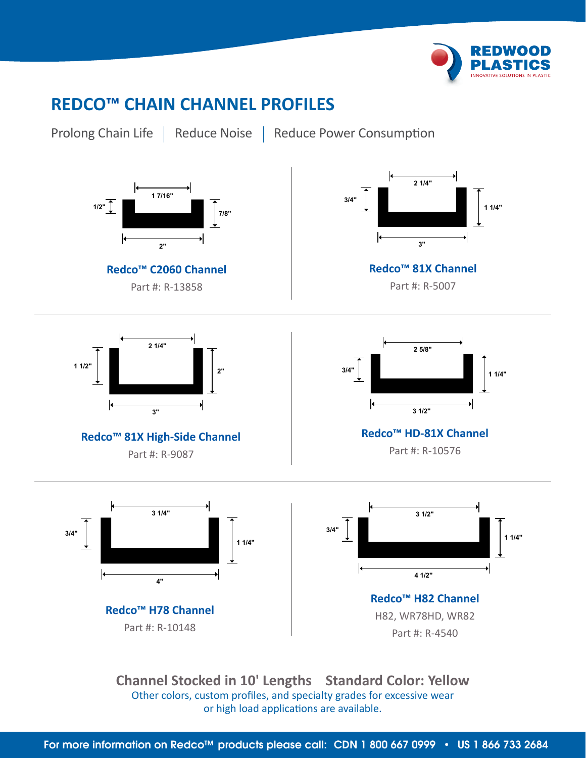

## **REDCO™ CHAIN CHANNEL PROFILES**



Prolong Chain Life | Reduce Noise | Reduce Power Consumption



**Channel Stocked in 10' Lengths Standard Color: Yellow** Other colors, custom profiles, and specialty grades for excessive wear or high load applications are available.